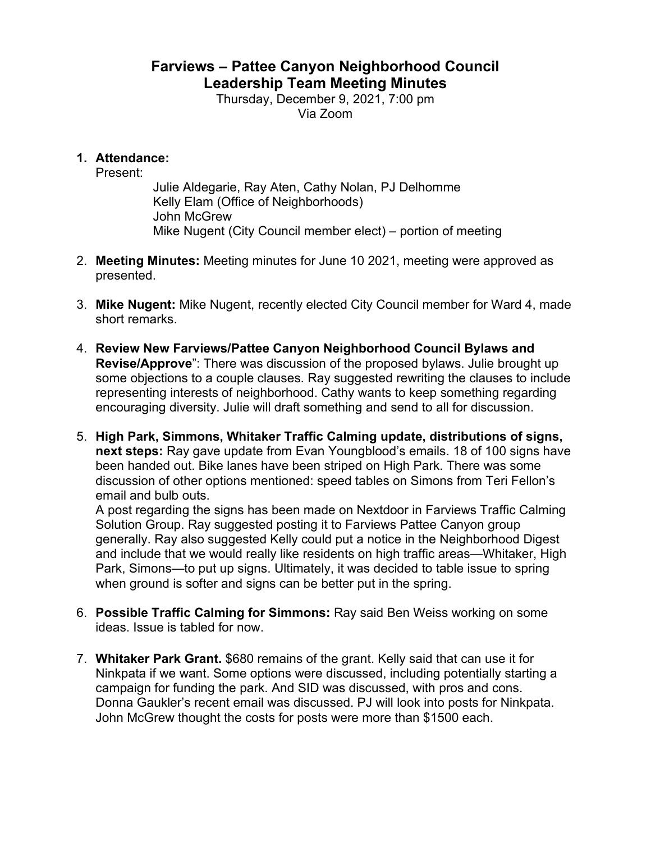## **Farviews – Pattee Canyon Neighborhood Council Leadership Team Meeting Minutes**

Thursday, December 9, 2021, 7:00 pm Via Zoom

## **1. Attendance:**

Present:

Julie Aldegarie, Ray Aten, Cathy Nolan, PJ Delhomme Kelly Elam (Office of Neighborhoods) John McGrew Mike Nugent (City Council member elect) – portion of meeting

- 2. **Meeting Minutes:** Meeting minutes for June 10 2021, meeting were approved as presented.
- 3. **Mike Nugent:** Mike Nugent, recently elected City Council member for Ward 4, made short remarks.
- 4. **Review New Farviews/Pattee Canyon Neighborhood Council Bylaws and Revise/Approve**": There was discussion of the proposed bylaws. Julie brought up some objections to a couple clauses. Ray suggested rewriting the clauses to include representing interests of neighborhood. Cathy wants to keep something regarding encouraging diversity. Julie will draft something and send to all for discussion.
- 5. **High Park, Simmons, Whitaker Traffic Calming update, distributions of signs, next steps:** Ray gave update from Evan Youngblood's emails. 18 of 100 signs have been handed out. Bike lanes have been striped on High Park. There was some discussion of other options mentioned: speed tables on Simons from Teri Fellon's email and bulb outs.

A post regarding the signs has been made on Nextdoor in Farviews Traffic Calming Solution Group. Ray suggested posting it to Farviews Pattee Canyon group generally. Ray also suggested Kelly could put a notice in the Neighborhood Digest and include that we would really like residents on high traffic areas—Whitaker, High Park, Simons—to put up signs. Ultimately, it was decided to table issue to spring when ground is softer and signs can be better put in the spring.

- 6. **Possible Traffic Calming for Simmons:** Ray said Ben Weiss working on some ideas. Issue is tabled for now.
- 7. **Whitaker Park Grant.** \$680 remains of the grant. Kelly said that can use it for Ninkpata if we want. Some options were discussed, including potentially starting a campaign for funding the park. And SID was discussed, with pros and cons. Donna Gaukler's recent email was discussed. PJ will look into posts for Ninkpata. John McGrew thought the costs for posts were more than \$1500 each.